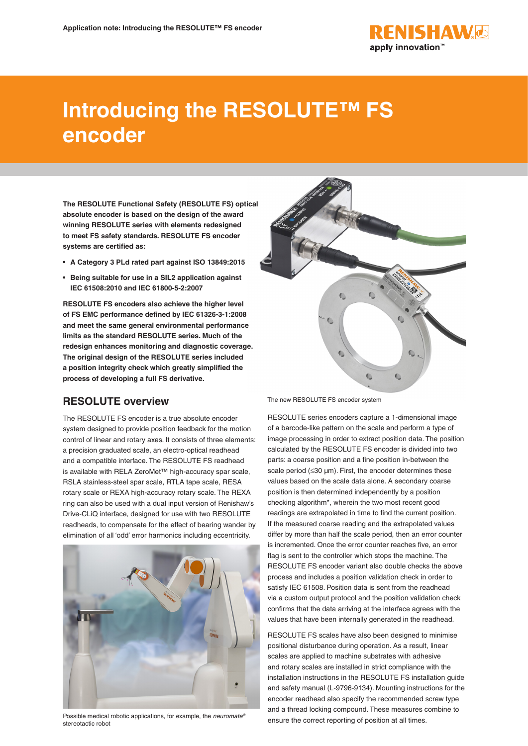

# **Introducing the RESOLUTE™ FS encoder**

**The RESOLUTE Functional Safety (RESOLUTE FS) optical absolute encoder is based on the design of the award winning RESOLUTE series with elements redesigned to meet FS safety standards. RESOLUTE FS encoder systems are certified as:**

- **• A Category 3 PLd rated part against ISO 13849:2015**
- **• Being suitable for use in a SIL2 application against IEC 61508:2010 and IEC 61800-5-2:2007**

**RESOLUTE FS encoders also achieve the higher level of FS EMC performance defined by IEC 61326-3-1:2008 and meet the same general environmental performance limits as the standard RESOLUTE series. Much of the redesign enhances monitoring and diagnostic coverage. The original design of the RESOLUTE series included a position integrity check which greatly simplified the process of developing a full FS derivative.**

## **RESOLUTE overview**

The RESOLUTE FS encoder is a true absolute encoder system designed to provide position feedback for the motion control of linear and rotary axes. It consists of three elements: a precision graduated scale, an electro-optical readhead and a compatible interface. The RESOLUTE FS readhead is available with RELA ZeroMet™ high-accuracy spar scale, RSLA stainless-steel spar scale, RTLA tape scale, RESA rotary scale or REXA high-accuracy rotary scale. The REXA ring can also be used with a dual input version of Renishaw's Drive-CLiQ interface, designed for use with two RESOLUTE readheads, to compensate for the effect of bearing wander by elimination of all 'odd' error harmonics including eccentricity.



Possible medical robotic applications, for example, the *neuromate®* stereotactic robot



The new RESOLUTE FS encoder system

RESOLUTE series encoders capture a 1-dimensional image of a barcode-like pattern on the scale and perform a type of image processing in order to extract position data. The position calculated by the RESOLUTE FS encoder is divided into two parts: a coarse position and a fine position in-between the scale period (≤30 µm). First, the encoder determines these values based on the scale data alone. A secondary coarse position is then determined independently by a position checking algorithm\*, wherein the two most recent good readings are extrapolated in time to find the current position. If the measured coarse reading and the extrapolated values differ by more than half the scale period, then an error counter is incremented. Once the error counter reaches five, an error flag is sent to the controller which stops the machine. The RESOLUTE FS encoder variant also double checks the above process and includes a position validation check in order to satisfy IEC 61508. Position data is sent from the readhead via a custom output protocol and the position validation check confirms that the data arriving at the interface agrees with the values that have been internally generated in the readhead.

RESOLUTE FS scales have also been designed to minimise positional disturbance during operation. As a result, linear scales are applied to machine substrates with adhesive and rotary scales are installed in strict compliance with the installation instructions in the RESOLUTE FS installation guide and safety manual (L-9796-9134). Mounting instructions for the encoder readhead also specify the recommended screw type and a thread locking compound. These measures combine to ensure the correct reporting of position at all times.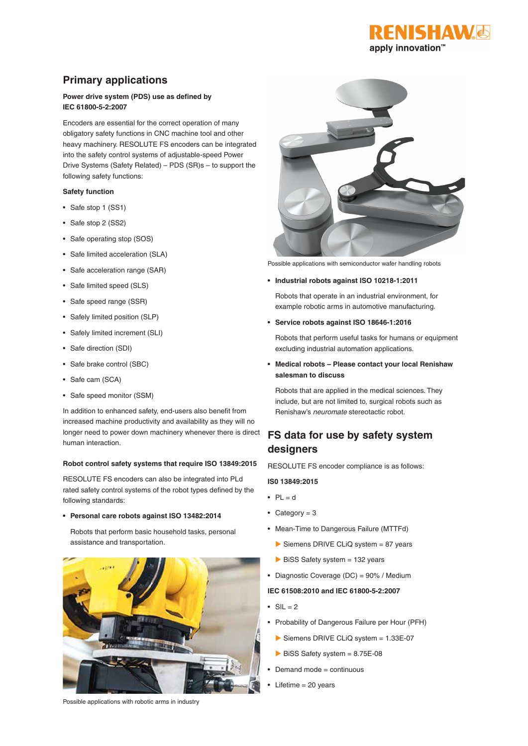

## **Primary applications**

#### **Power drive system (PDS) use as defined by IEC 61800-5-2:2007**

Encoders are essential for the correct operation of many obligatory safety functions in CNC machine tool and other heavy machinery. RESOLUTE FS encoders can be integrated into the safety control systems of adjustable-speed Power Drive Systems (Safety Related) – PDS (SR)s – to support the following safety functions:

#### **Safety function**

- Safe stop 1 (SS1)
- Safe stop 2 (SS2)
- Safe operating stop (SOS)
- Safe limited acceleration (SLA)
- Safe acceleration range (SAR)
- Safe limited speed (SLS)
- Safe speed range (SSR)
- Safely limited position (SLP)
- Safely limited increment (SLI)
- Safe direction (SDI)
- Safe brake control (SBC)
- Safe cam (SCA)
- Safe speed monitor (SSM)

In addition to enhanced safety, end-users also benefit from increased machine productivity and availability as they will no longer need to power down machinery whenever there is direct human interaction.

#### **Robot control safety systems that require ISO 13849:2015**

RESOLUTE FS encoders can also be integrated into PLd rated safety control systems of the robot types defined by the following standards:

#### **• Personal care robots against ISO 13482:2014**

Robots that perform basic household tasks, personal assistance and transportation.



Possible applications with robotic arms in industry



Possible applications with semiconductor wafer handling robots

**• Industrial robots against ISO 10218-1:2011**

Robots that operate in an industrial environment, for example robotic arms in automotive manufacturing.

**• Service robots against ISO 18646-1:2016**

Robots that perform useful tasks for humans or equipment excluding industrial automation applications.

**• Medical robots – Please contact your local Renishaw salesman to discuss**

Robots that are applied in the medical sciences. They include, but are not limited to, surgical robots such as Renishaw's *neuromate* stereotactic robot.

## **FS data for use by safety system designers**

RESOLUTE FS encoder compliance is as follows:

#### **IS0 13849:2015**

- $\bullet$  PL = d
- Category =  $3$
- Mean-Time to Dangerous Failure (MTTFd)
	- Siemens DRIVE CLiQ system  $= 87$  years
- $\triangleright$  BiSS Safety system = 132 years
- Diagnostic Coverage (DC) = 90% / Medium

#### **IEC 61508:2010 and IEC 61800-5-2:2007**

- $\bullet$  SIL = 2
- Probability of Dangerous Failure per Hour (PFH)
	- Siemens DRIVE CLiQ system = 1.33E-07
	- $\triangleright$  BiSS Safety system = 8.75E-08
- Demand mode = continuous
- Lifetime = 20 years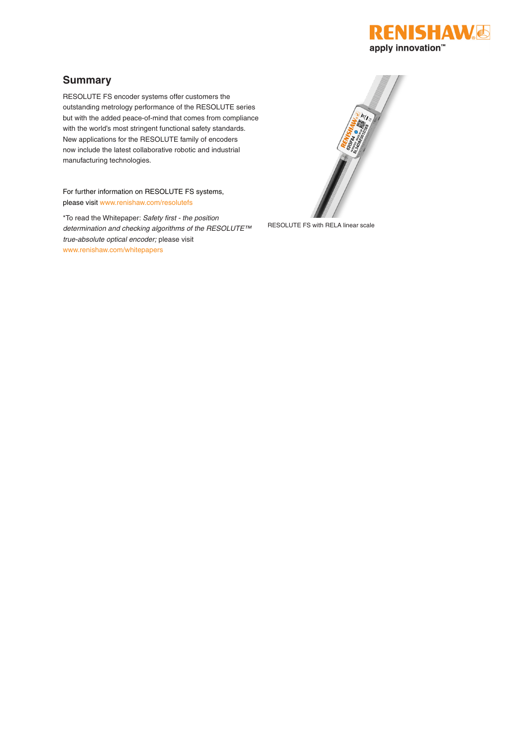

## **Summary**

RESOLUTE FS encoder systems offer customers the outstanding metrology performance of the RESOLUTE series but with the added peace-of-mind that comes from compliance with the world's most stringent functional safety standards. New applications for the RESOLUTE family of encoders now include the latest collaborative robotic and industrial manufacturing technologies.

For further information on RESOLUTE FS systems, please visit www.renishaw.com/resolutefs

\*To read the Whitepaper: *Safety first - the position determination and checking algorithms of the RESOLUTE™ true-absolute optical encoder;* please visit www.renishaw.com/whitepapers



RESOLUTE FS with RELA linear scale